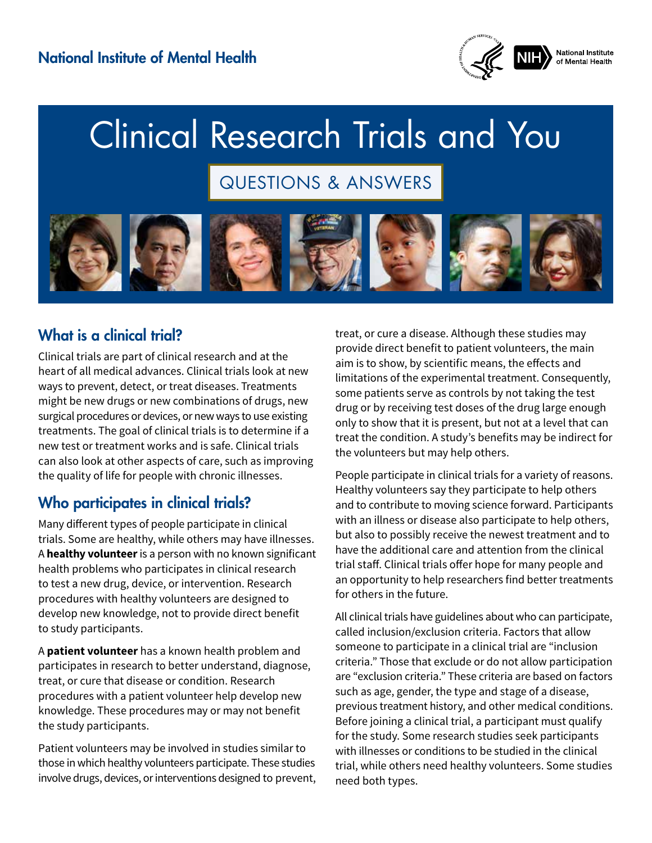

#### **National Institute** of Mental Health

# Clinical Research Trials and You

QUESTIONS & ANSWERS



## What is a clinical trial?

Clinical trials are part of clinical research and at the heart of all medical advances. Clinical trials look at new ways to prevent, detect, or treat diseases. Treatments might be new drugs or new combinations of drugs, new surgical procedures or devices, or new ways to use existing treatments. The goal of clinical trials is to determine if a new test or treatment works and is safe. Clinical trials can also look at other aspects of care, such as improving the quality of life for people with chronic illnesses.

## Who participates in clinical trials?

Many different types of people participate in clinical trials. Some are healthy, while others may have illnesses. A **healthy volunteer** is a person with no known significant health problems who participates in clinical research to test a new drug, device, or intervention. Research procedures with healthy volunteers are designed to develop new knowledge, not to provide direct benefit to study participants.

A **patient volunteer** has a known health problem and participates in research to better understand, diagnose, treat, or cure that disease or condition. Research procedures with a patient volunteer help develop new knowledge. These procedures may or may not benefit the study participants.

Patient volunteers may be involved in studies similar to those in which healthy volunteers participate. These studies involve drugs, devices, or interventions designed to prevent, treat, or cure a disease. Although these studies may provide direct benefit to patient volunteers, the main aim is to show, by scientific means, the effects and limitations of the experimental treatment. Consequently, some patients serve as controls by not taking the test drug or by receiving test doses of the drug large enough only to show that it is present, but not at a level that can treat the condition. A study's benefits may be indirect for the volunteers but may help others.

People participate in clinical trials for a variety of reasons. Healthy volunteers say they participate to help others and to contribute to moving science forward. Participants with an illness or disease also participate to help others, but also to possibly receive the newest treatment and to have the additional care and attention from the clinical trial staff. Clinical trials offer hope for many people and an opportunity to help researchers find better treatments for others in the future.

All clinical trials have guidelines about who can participate, called inclusion/exclusion criteria. Factors that allow someone to participate in a clinical trial are "inclusion criteria." Those that exclude or do not allow participation are "exclusion criteria." These criteria are based on factors such as age, gender, the type and stage of a disease, previous treatment history, and other medical conditions. Before joining a clinical trial, a participant must qualify for the study. Some research studies seek participants with illnesses or conditions to be studied in the clinical trial, while others need healthy volunteers. Some studies need both types.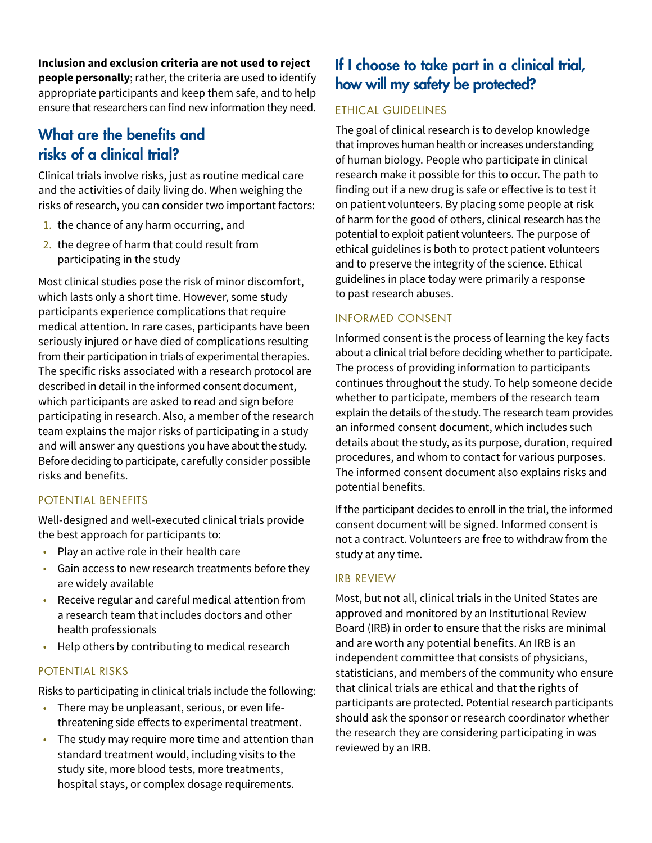**Inclusion and exclusion criteria are not used to reject people personally**; rather, the criteria are used to identify appropriate participants and keep them safe, and to help ensure that researchers can find new information they need.

## What are the benefits and risks of a clinical trial?

Clinical trials involve risks, just as routine medical care and the activities of daily living do. When weighing the risks of research, you can consider two important factors:

- 1. the chance of any harm occurring, and
- 2. the degree of harm that could result from participating in the study

Most clinical studies pose the risk of minor discomfort, which lasts only a short time. However, some study participants experience complications that require medical attention. In rare cases, participants have been seriously injured or have died of complications resulting from their participation in trials of experimental therapies. The specific risks associated with a research protocol are described in detail in the informed consent document, which participants are asked to read and sign before participating in research. Also, a member of the research team explains the major risks of participating in a study and will answer any questions you have about the study. Before deciding to participate, carefully consider possible risks and benefits.

### POTENTIAL BENEFITS

Well-designed and well-executed clinical trials provide the best approach for participants to:

- Play an active role in their health care
- Gain access to new research treatments before they are widely available
- Receive regular and careful medical attention from a research team that includes doctors and other health professionals
- Help others by contributing to medical research

#### POTENTIAL RISKS

Risks to participating in clinical trials include the following:

- There may be unpleasant, serious, or even lifethreatening side effects to experimental treatment.
- The study may require more time and attention than standard treatment would, including visits to the study site, more blood tests, more treatments, hospital stays, or complex dosage requirements.

## If I choose to take part in a clinical trial, how will my safety be protected?

#### ETHICAL GUIDELINES

The goal of clinical research is to develop knowledge that improves human health or increases understanding of human biology. People who participate in clinical research make it possible for this to occur. The path to finding out if a new drug is safe or effective is to test it on patient volunteers. By placing some people at risk of harm for the good of others, clinical research has the potential to exploit patient volunteers. The purpose of ethical guidelines is both to protect patient volunteers and to preserve the integrity of the science. Ethical guidelines in place today were primarily a response to past research abuses.

#### INFORMED CONSENT

Informed consent is the process of learning the key facts about a clinical trial before deciding whether to participate. The process of providing information to participants continues throughout the study. To help someone decide whether to participate, members of the research team explain the details of the study. The research team provides an informed consent document, which includes such details about the study, as its purpose, duration, required procedures, and whom to contact for various purposes. The informed consent document also explains risks and potential benefits.

If the participant decides to enroll in the trial, the informed consent document will be signed. Informed consent is not a contract. Volunteers are free to withdraw from the study at any time.

#### IRB REVIEW

Most, but not all, clinical trials in the United States are approved and monitored by an Institutional Review Board (IRB) in order to ensure that the risks are minimal and are worth any potential benefits. An IRB is an independent committee that consists of physicians, statisticians, and members of the community who ensure that clinical trials are ethical and that the rights of participants are protected. Potential research participants should ask the sponsor or research coordinator whether the research they are considering participating in was reviewed by an IRB.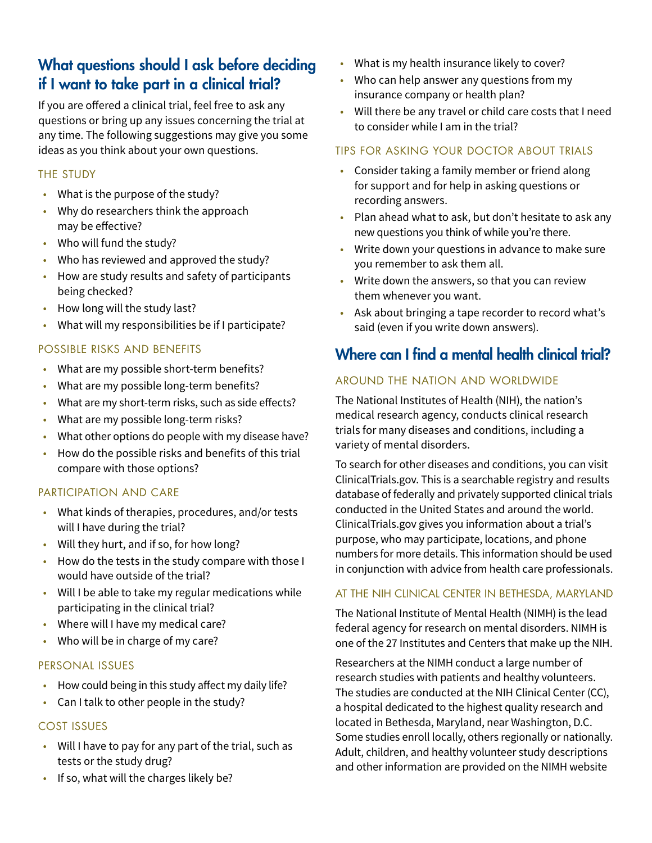## What questions should I ask before deciding if I want to take part in a clinical trial?

If you are offered a clinical trial, feel free to ask any questions or bring up any issues concerning the trial at any time. The following suggestions may give you some ideas as you think about your own questions.

#### THE STUDY

- What is the purpose of the study?
- • Why do researchers think the approach may be effective?
- Who will fund the study?
- Who has reviewed and approved the study?
- • How are study results and safety of participants being checked?
- How long will the study last?
- What will my responsibilities be if I participate?

#### POSSIBLE RISKS AND BENEFITS

- • What are my possible short-term benefits?
- What are my possible long-term benefits?
- What are my short-term risks, such as side effects?
- What are my possible long-term risks?
- What other options do people with my disease have?
- How do the possible risks and benefits of this trial compare with those options?

#### PARTICIPATION AND CARE

- • What kinds of therapies, procedures, and/or tests will I have during the trial?
- • Will they hurt, and if so, for how long?
- How do the tests in the study compare with those I would have outside of the trial?
- Will I be able to take my regular medications while participating in the clinical trial?
- Where will I have my medical care?
- Who will be in charge of my care?

#### PERSONAL ISSUES

- How could being in this study affect my daily life?
- Can I talk to other people in the study?

#### COST ISSUES

- Will I have to pay for any part of the trial, such as tests or the study drug?
- If so, what will the charges likely be?
- What is my health insurance likely to cover?
- Who can help answer any questions from my insurance company or health plan?
- • Will there be any travel or child care costs that I need to consider while I am in the trial?

#### TIPS FOR ASKING YOUR DOCTOR ABOUT TRIALS

- Consider taking a family member or friend along for support and for help in asking questions or recording answers.
- Plan ahead what to ask, but don't hesitate to ask any new questions you think of while you're there.
- Write down your questions in advance to make sure you remember to ask them all.
- Write down the answers, so that you can review them whenever you want.
- Ask about bringing a tape recorder to record what's said (even if you write down answers).

## Where can I find a mental health clinical trial?

### AROUND THE NATION AND WORLDWIDE

The National Institutes of Health (NIH), the nation's medical research agency, conducts clinical research trials for many diseases and conditions, including a variety of mental disorders.

To search for other diseases and conditions, you can visit [ClinicalTrials.gov.](http://ClinicalTrials.gov) This is a searchable registry and results database of federally and privately supported clinical trials conducted in the United States and around the world. [ClinicalTrials.gov](http://ClinicalTrials.gov) gives you information about a trial's purpose, who may participate, locations, and phone numbers for more details. This information should be used in conjunction with advice from health care professionals.

#### AT THE NIH CLINICAL CENTER IN BETHESDA, MARYLAND

The National Institute of Mental Health (NIMH) is the lead federal agency for research on mental disorders. NIMH is one of the 27 Institutes and Centers that make up the NIH.

Researchers at the NIMH conduct a large number of research studies with patients and healthy volunteers. The studies are conducted at the NIH Clinical Center (CC), a hospital dedicated to the highest quality research and located in Bethesda, Maryland, near Washington, D.C. Some studies enroll locally, others regionally or nationally. Adult, children, and healthy volunteer study descriptions and other information are provided on the NIMH website